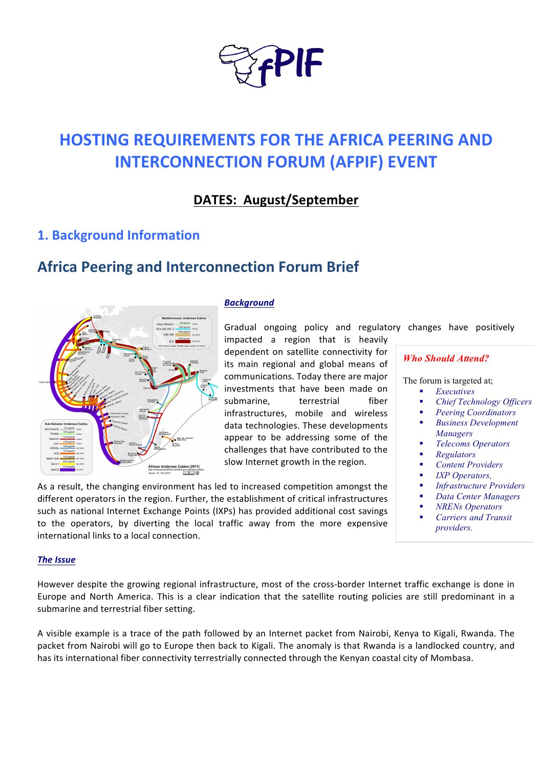

# **HOSTING REQUIREMENTS FOR THE AFRICA PEERING AND INTERCONNECTION FORUM (AFPIF) EVENT**

### **DATES: August/September**

### **1. Background Information**

## **Africa Peering and Interconnection Forum Brief**



#### **Background**

Gradual ongoing policy and regulatory changes have positively impacted a region that is heavily dependent on satellite connectivity for its main regional and global means of communications. Today there are major investments that have been made on submarine. terrestrial fiber infrastructures, mobile and wireless data technologies. These developments appear to be addressing some of the challenges that have contributed to the slow Internet growth in the region.

As a result, the changing environment has led to increased competition amongst the different operators in the region. Further, the establishment of critical infrastructures such as national Internet Exchange Points (IXPs) has provided additional cost savings to the operators, by diverting the local traffic away from the more expensive international links to a local connection.

#### **The Issue**

However despite the growing regional infrastructure, most of the cross-border Internet traffic exchange is done in Europe and North America. This is a clear indication that the satellite routing policies are still predominant in a submarine and terrestrial fiber setting.

A visible example is a trace of the path followed by an Internet packet from Nairobi, Kenya to Kigali, Rwanda. The packet from Nairobi will go to Europe then back to Kigali. The anomaly is that Rwanda is a landlocked country, and has its international fiber connectivity terrestrially connected through the Kenyan coastal city of Mombasa.

#### *Who Should Attend?*

The forum is targeted at;

- § *Executives*
- § *Chief Technology Officers*
- § *Peering Coordinators*  § *Business Development*
- *Managers*  § *Telecoms Operators*
- 
- § *Regulators*
- § *Content Providers*
- § *IXP Operators,*
- § *Infrastructure Providers*
- § *Data Center Managers*
- § *NRENs Operators* 
	- § *Carriers and Transit providers.*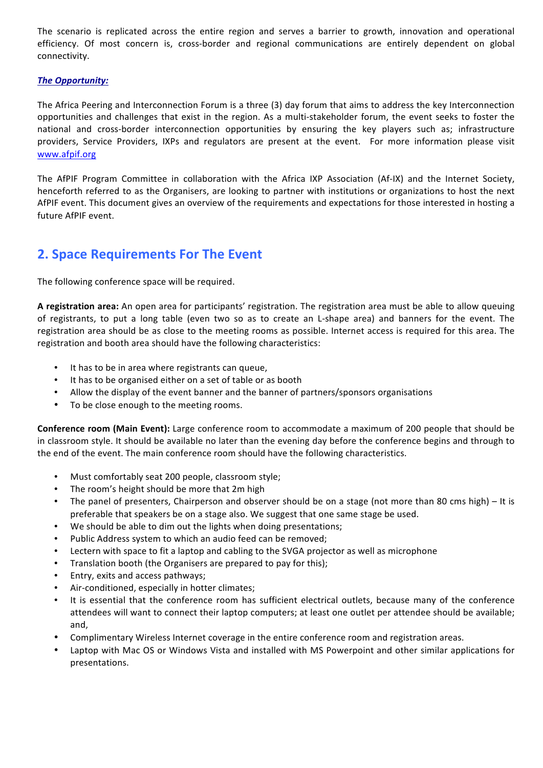The scenario is replicated across the entire region and serves a barrier to growth, innovation and operational efficiency. Of most concern is, cross-border and regional communications are entirely dependent on global connectivity. 

#### **The Opportunity:**

The Africa Peering and Interconnection Forum is a three (3) day forum that aims to address the key Interconnection opportunities and challenges that exist in the region. As a multi-stakeholder forum, the event seeks to foster the national and cross-border interconnection opportunities by ensuring the key players such as; infrastructure providers, Service Providers, IXPs and regulators are present at the event. For more information please visit www.afpif.org

The AfPIF Program Committee in collaboration with the Africa IXP Association (Af-IX) and the Internet Society, henceforth referred to as the Organisers, are looking to partner with institutions or organizations to host the next AfPIF event. This document gives an overview of the requirements and expectations for those interested in hosting a future AfPIF event.

### **2. Space Requirements For The Event**

The following conference space will be required.

A registration area: An open area for participants' registration. The registration area must be able to allow queuing of registrants, to put a long table (even two so as to create an L-shape area) and banners for the event. The registration area should be as close to the meeting rooms as possible. Internet access is required for this area. The registration and booth area should have the following characteristics:

- It has to be in area where registrants can queue,
- It has to be organised either on a set of table or as booth
- Allow the display of the event banner and the banner of partners/sponsors organisations
- To be close enough to the meeting rooms.

**Conference room (Main Event):** Large conference room to accommodate a maximum of 200 people that should be in classroom style. It should be available no later than the evening day before the conference begins and through to the end of the event. The main conference room should have the following characteristics.

- Must comfortably seat 200 people, classroom style;
- The room's height should be more that 2m high
- The panel of presenters, Chairperson and observer should be on a stage (not more than 80 cms high) It is preferable that speakers be on a stage also. We suggest that one same stage be used.
- We should be able to dim out the lights when doing presentations;
- Public Address system to which an audio feed can be removed;
- Lectern with space to fit a laptop and cabling to the SVGA projector as well as microphone
- Translation booth (the Organisers are prepared to pay for this);
- Entry, exits and access pathways;
- Air-conditioned, especially in hotter climates;
- It is essential that the conference room has sufficient electrical outlets, because many of the conference attendees will want to connect their laptop computers; at least one outlet per attendee should be available; and,
- Complimentary Wireless Internet coverage in the entire conference room and registration areas.
- Laptop with Mac OS or Windows Vista and installed with MS Powerpoint and other similar applications for presentations.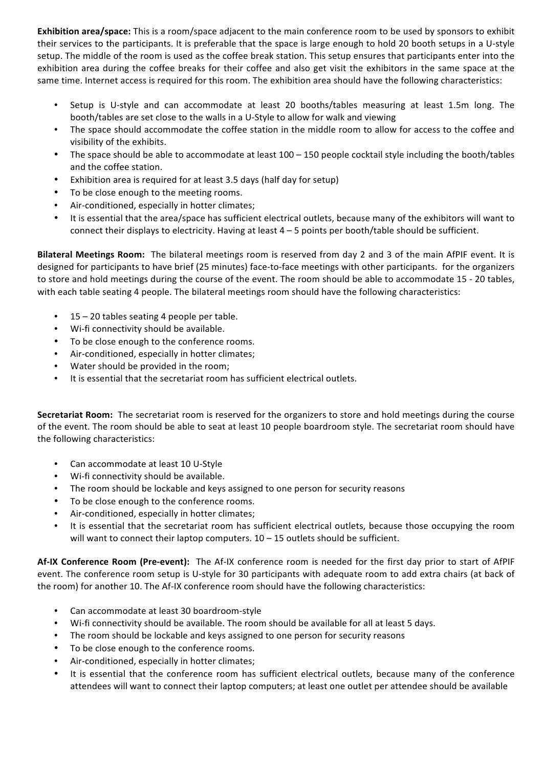**Exhibition area/space:** This is a room/space adjacent to the main conference room to be used by sponsors to exhibit their services to the participants. It is preferable that the space is large enough to hold 20 booth setups in a U-style setup. The middle of the room is used as the coffee break station. This setup ensures that participants enter into the exhibition area during the coffee breaks for their coffee and also get visit the exhibitors in the same space at the same time. Internet access is required for this room. The exhibition area should have the following characteristics:

- Setup is U-style and can accommodate at least 20 booths/tables measuring at least 1.5m long. The booth/tables are set close to the walls in a U-Style to allow for walk and viewing
- The space should accommodate the coffee station in the middle room to allow for access to the coffee and visibility of the exhibits.
- The space should be able to accommodate at least 100 150 people cocktail style including the booth/tables and the coffee station.
- Exhibition area is required for at least 3.5 days (half day for setup)
- To be close enough to the meeting rooms.
- Air-conditioned, especially in hotter climates;
- It is essential that the area/space has sufficient electrical outlets, because many of the exhibitors will want to connect their displays to electricity. Having at least  $4 - 5$  points per booth/table should be sufficient.

**Bilateral Meetings Room:** The bilateral meetings room is reserved from day 2 and 3 of the main AfPIF event. It is designed for participants to have brief (25 minutes) face-to-face meetings with other participants. for the organizers to store and hold meetings during the course of the event. The room should be able to accommodate 15 - 20 tables, with each table seating 4 people. The bilateral meetings room should have the following characteristics:

- $\cdot$  15 20 tables seating 4 people per table.
- Wi-fi connectivity should be available.
- To be close enough to the conference rooms.
- Air-conditioned, especially in hotter climates;
- Water should be provided in the room;
- It is essential that the secretariat room has sufficient electrical outlets.

**Secretariat Room:** The secretariat room is reserved for the organizers to store and hold meetings during the course of the event. The room should be able to seat at least 10 people boardroom style. The secretariat room should have the following characteristics:

- Can accommodate at least 10 U-Style
- Wi-fi connectivity should be available.
- The room should be lockable and keys assigned to one person for security reasons
- To be close enough to the conference rooms.
- Air-conditioned, especially in hotter climates;
- It is essential that the secretariat room has sufficient electrical outlets, because those occupying the room will want to connect their laptop computers.  $10 - 15$  outlets should be sufficient.

Af-IX Conference Room (Pre-event): The Af-IX conference room is needed for the first day prior to start of AfPIF event. The conference room setup is U-style for 30 participants with adequate room to add extra chairs (at back of the room) for another 10. The Af-IX conference room should have the following characteristics:

- Can accommodate at least 30 boardroom-style
- Wi-fi connectivity should be available. The room should be available for all at least 5 days.
- The room should be lockable and keys assigned to one person for security reasons
- To be close enough to the conference rooms.
- Air-conditioned, especially in hotter climates;
- It is essential that the conference room has sufficient electrical outlets, because many of the conference attendees will want to connect their laptop computers; at least one outlet per attendee should be available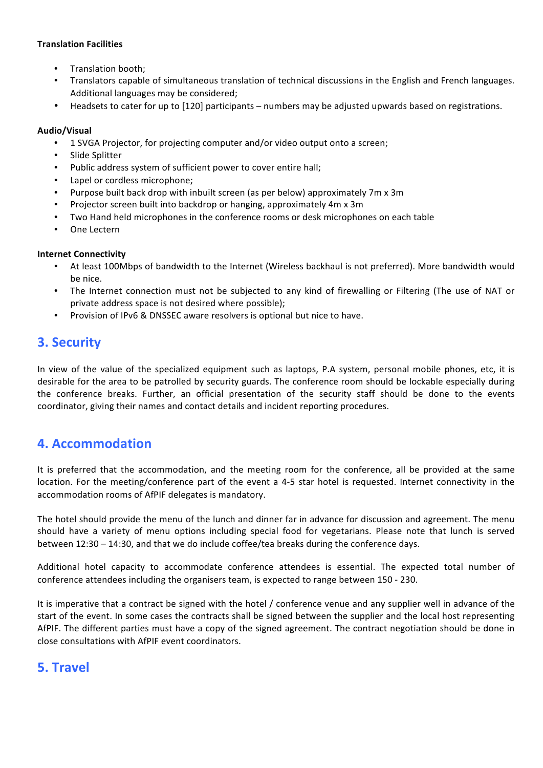#### **Translation Facilities**

- Translation booth;
- Translators capable of simultaneous translation of technical discussions in the English and French languages. Additional languages may be considered;
- Headsets to cater for up to [120] participants numbers may be adjusted upwards based on registrations.

#### **Audio/Visual**

- 1 SVGA Projector, for projecting computer and/or video output onto a screen;
- Slide Splitter
- Public address system of sufficient power to cover entire hall;
- Lapel or cordless microphone;
- Purpose built back drop with inbuilt screen (as per below) approximately 7m x 3m
- Projector screen built into backdrop or hanging, approximately 4m x 3m
- Two Hand held microphones in the conference rooms or desk microphones on each table
- One Lectern

#### **Internet Connectivity**

- At least 100Mbps of bandwidth to the Internet (Wireless backhaul is not preferred). More bandwidth would be nice.
- The Internet connection must not be subjected to any kind of firewalling or Filtering (The use of NAT or private address space is not desired where possible);
- Provision of IPv6 & DNSSEC aware resolvers is optional but nice to have.

### **3. Security**

In view of the value of the specialized equipment such as laptops, P.A system, personal mobile phones, etc, it is desirable for the area to be patrolled by security guards. The conference room should be lockable especially during the conference breaks. Further, an official presentation of the security staff should be done to the events coordinator, giving their names and contact details and incident reporting procedures.

### **4. Accommodation**

It is preferred that the accommodation, and the meeting room for the conference, all be provided at the same location. For the meeting/conference part of the event a 4-5 star hotel is requested. Internet connectivity in the accommodation rooms of AfPIF delegates is mandatory.

The hotel should provide the menu of the lunch and dinner far in advance for discussion and agreement. The menu should have a variety of menu options including special food for vegetarians. Please note that lunch is served between  $12:30 - 14:30$ , and that we do include coffee/tea breaks during the conference days.

Additional hotel capacity to accommodate conference attendees is essential. The expected total number of conference attendees including the organisers team, is expected to range between 150 - 230.

It is imperative that a contract be signed with the hotel / conference venue and any supplier well in advance of the start of the event. In some cases the contracts shall be signed between the supplier and the local host representing AfPIF. The different parties must have a copy of the signed agreement. The contract negotiation should be done in close consultations with AfPIF event coordinators.

### **5. Travel**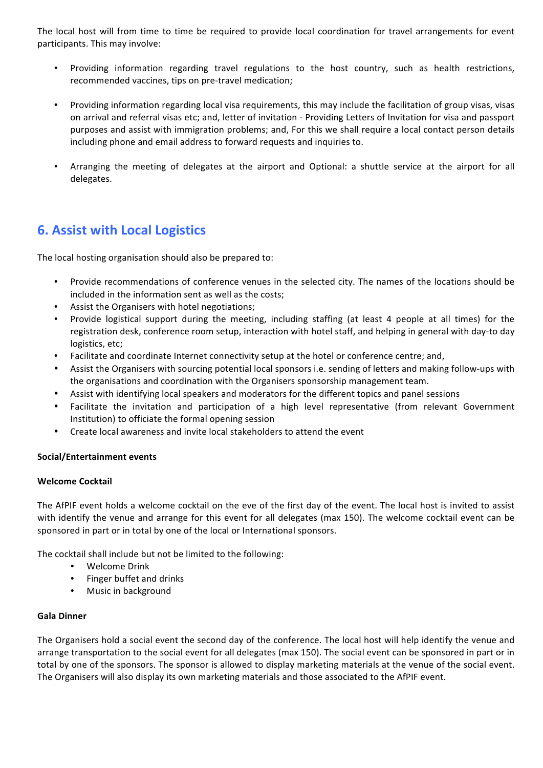The local host will from time to time be required to provide local coordination for travel arrangements for event participants. This may involve:

- Providing information regarding travel regulations to the host country, such as health restrictions, recommended vaccines, tips on pre-travel medication;
- Providing information regarding local visa requirements, this may include the facilitation of group visas, visas on arrival and referral visas etc; and, letter of invitation - Providing Letters of Invitation for visa and passport purposes and assist with immigration problems; and, For this we shall require a local contact person details including phone and email address to forward requests and inquiries to.
- Arranging the meeting of delegates at the airport and Optional: a shuttle service at the airport for all delegates.

### **6. Assist with Local Logistics**

The local hosting organisation should also be prepared to:

- Provide recommendations of conference venues in the selected city. The names of the locations should be included in the information sent as well as the costs;
- Assist the Organisers with hotel negotiations;
- Provide logistical support during the meeting, including staffing (at least 4 people at all times) for the registration desk, conference room setup, interaction with hotel staff, and helping in general with day-to day logistics, etc;
- Facilitate and coordinate Internet connectivity setup at the hotel or conference centre; and,
- Assist the Organisers with sourcing potential local sponsors i.e. sending of letters and making follow-ups with the organisations and coordination with the Organisers sponsorship management team.
- Assist with identifying local speakers and moderators for the different topics and panel sessions
- Facilitate the invitation and participation of a high level representative (from relevant Government Institution) to officiate the formal opening session
- Create local awareness and invite local stakeholders to attend the event

#### **Social/Entertainment events**

#### **Welcome Cocktail**

The AfPIF event holds a welcome cocktail on the eve of the first day of the event. The local host is invited to assist with identify the venue and arrange for this event for all delegates (max 150). The welcome cocktail event can be sponsored in part or in total by one of the local or International sponsors.

The cocktail shall include but not be limited to the following:

- Welcome Drink
- Finger buffet and drinks
- Music in background

#### **Gala Dinner**

The Organisers hold a social event the second day of the conference. The local host will help identify the venue and arrange transportation to the social event for all delegates (max 150). The social event can be sponsored in part or in total by one of the sponsors. The sponsor is allowed to display marketing materials at the venue of the social event. The Organisers will also display its own marketing materials and those associated to the AfPIF event.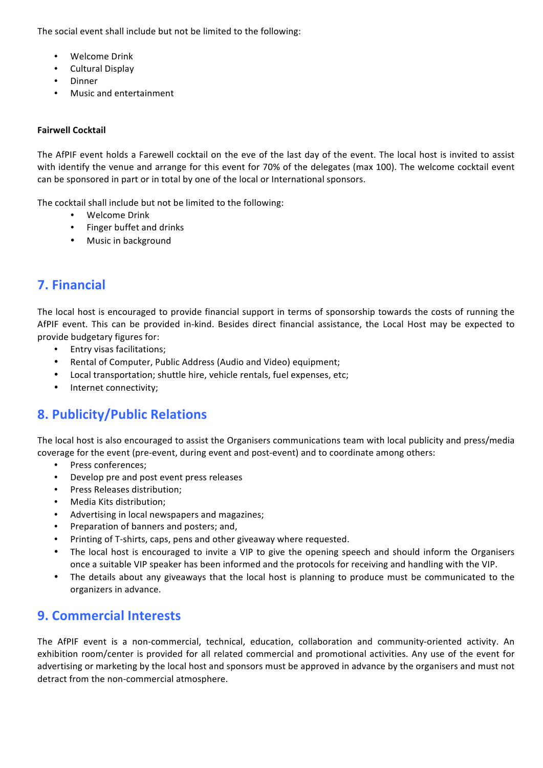The social event shall include but not be limited to the following:

- Welcome Drink
- Cultural Display
- Dinner
- Music and entertainment

#### **Fairwell Cocktail**

The AfPIF event holds a Farewell cocktail on the eve of the last day of the event. The local host is invited to assist with identify the venue and arrange for this event for 70% of the delegates (max 100). The welcome cocktail event can be sponsored in part or in total by one of the local or International sponsors.

The cocktail shall include but not be limited to the following:

- Welcome Drink
- Finger buffet and drinks
- Music in background

### **7. Financial**

The local host is encouraged to provide financial support in terms of sponsorship towards the costs of running the AfPIF event. This can be provided in-kind. Besides direct financial assistance, the Local Host may be expected to provide budgetary figures for:

- Entry visas facilitations;
- Rental of Computer, Public Address (Audio and Video) equipment;
- Local transportation; shuttle hire, vehicle rentals, fuel expenses, etc;
- Internet connectivity;

### **8. Publicity/Public Relations**

The local host is also encouraged to assist the Organisers communications team with local publicity and press/media coverage for the event (pre-event, during event and post-event) and to coordinate among others:

- Press conferences;
- Develop pre and post event press releases
- Press Releases distribution;
- Media Kits distribution;
- Advertising in local newspapers and magazines;
- Preparation of banners and posters; and,
- Printing of T-shirts, caps, pens and other giveaway where requested.
- The local host is encouraged to invite a VIP to give the opening speech and should inform the Organisers once a suitable VIP speaker has been informed and the protocols for receiving and handling with the VIP.
- The details about any giveaways that the local host is planning to produce must be communicated to the organizers in advance.

### **9. Commercial Interests**

The AfPIF event is a non-commercial, technical, education, collaboration and community-oriented activity. An exhibition room/center is provided for all related commercial and promotional activities. Any use of the event for advertising or marketing by the local host and sponsors must be approved in advance by the organisers and must not detract from the non-commercial atmosphere.